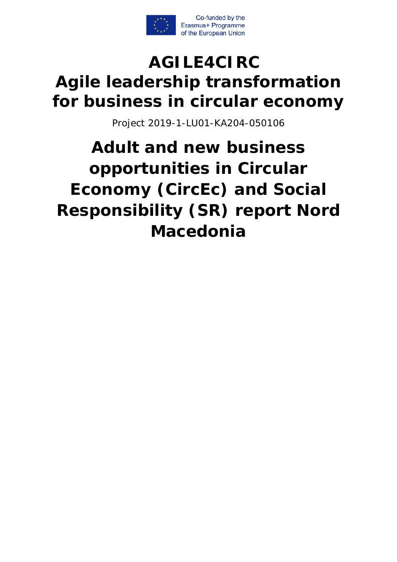

# **AGILE4CIRC Agile leadership transformation for business in circular economy**

Project 2019-1-LU01-KA204-050106

**Adult and new business opportunities in Circular Economy (CircEc) and Social Responsibility (SR) report Nord Macedonia**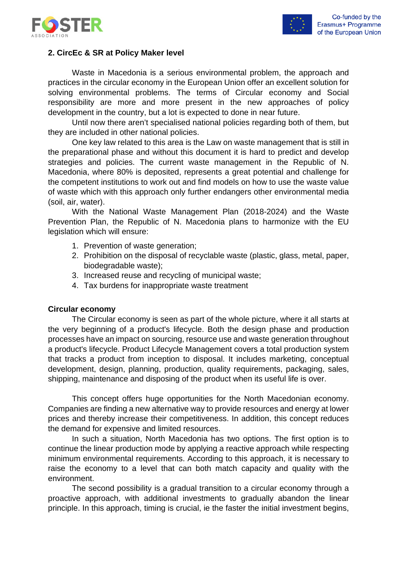



## **2. CircEc & SR at Policy Maker level**

Waste in Macedonia is a serious environmental problem, the approach and practices in the circular economy in the European Union offer an excellent solution for solving environmental problems. The terms of Circular economy and Social responsibility are more and more present in the new approaches of policy development in the country, but a lot is expected to done in near future.

Until now there aren't specialised national policies regarding both of them, but they are included in other national policies.

One key law related to this area is the Law on waste management that is still in the preparational phase and without this document it is hard to predict and develop strategies and policies. The current waste management in the Republic of N. Macedonia, where 80% is deposited, represents a great potential and challenge for the competent institutions to work out and find models on how to use the waste value of waste which with this approach only further endangers other environmental media (soil, air, water).

With the National Waste Management Plan (2018-2024) and the Waste Prevention Plan, the Republic of N. Macedonia plans to harmonize with the EU legislation which will ensure:

- 1. Prevention of waste generation;
- 2. Prohibition on the disposal of recyclable waste (plastic, glass, metal, paper, biodegradable waste);
- 3. Increased reuse and recycling of municipal waste;
- 4. Tax burdens for inappropriate waste treatment

#### **Circular economy**

The Circular economy is seen as part of the whole picture, where it all starts at the very beginning of a product's lifecycle. Both the design phase and production processes have an impact on sourcing, resource use and waste generation throughout a product's lifecycle. Product Lifecycle Management covers a total production system that tracks a product from inception to disposal. It includes marketing, conceptual development, design, planning, production, quality requirements, packaging, sales, shipping, maintenance and disposing of the product when its useful life is over.

This concept offers huge opportunities for the North Macedonian economy. Companies are finding a new alternative way to provide resources and energy at lower prices and thereby increase their competitiveness. In addition, this concept reduces the demand for expensive and limited resources.

In such a situation, North Macedonia has two options. The first option is to continue the linear production mode by applying a reactive approach while respecting minimum environmental requirements. According to this approach, it is necessary to raise the economy to a level that can both match capacity and quality with the environment.

The second possibility is a gradual transition to a circular economy through a proactive approach, with additional investments to gradually abandon the linear principle. In this approach, timing is crucial, ie the faster the initial investment begins,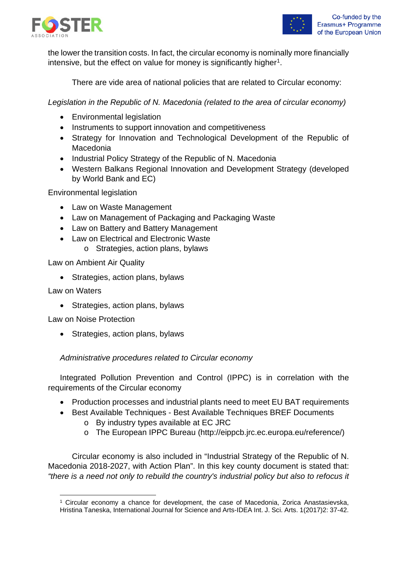



the lower the transition costs. In fact, the circular economy is nominally more financially intensive, but the effect on value for money is significantly higher<sup>1</sup>.

There are vide area of national policies that are related to Circular economy:

*Legislation in the Republic of N. Macedonia (related to the area of circular economy)*

- Environmental legislation
- Instruments to support innovation and competitiveness
- Strategy for Innovation and Technological Development of the Republic of Macedonia
- Industrial Policy Strategy of the Republic of N. Macedonia
- Western Balkans Regional Innovation and Development Strategy (developed by World Bank and EC)

Environmental legislation

- Law on Waste Management
- Law on Management of Packaging and Packaging Waste
- Law on Battery and Battery Management
- Law on Electrical and Electronic Waste
	- o Strategies, action plans, bylaws

Law on Ambient Air Quality

• Strategies, action plans, bylaws

Law on Waters

• Strategies, action plans, bylaws

Law on Noise Protection

• Strategies, action plans, bylaws

#### *Administrative procedures related to Circular economy*

Integrated Pollution Prevention and Control (IPPC) is in correlation with the requirements of the Circular economy

- Production processes and industrial plants need to meet EU BAT requirements
- Best Available Techniques Best Available Techniques BREF Documents
	- o By industry types available at EC JRC
	- o The European IPPC Bureau (http://eippcb.jrc.ec.europa.eu/reference/)

Circular economy is also included in "Industrial Strategy of the Republic of N. Macedonia 2018-2027, with Action Plan". In this key county document is stated that: *"there is a need not only to rebuild the country's industrial policy but also to refocus it* 

<span id="page-2-0"></span><sup>1</sup> Circular economy a chance for development, the case of Macedonia, Zorica Anastasievska, Hristina Taneska, International Journal for Science and Arts-IDEA Int. J. Sci. Arts. 1(2017)2: 37-42.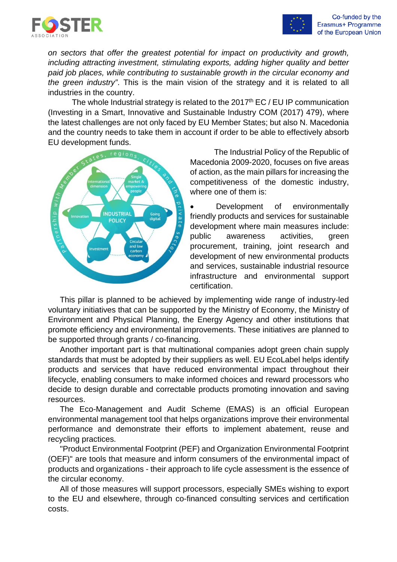



*on sectors that offer the greatest potential for impact on productivity and growth, including attracting investment, stimulating exports, adding higher quality and better paid job places, while contributing to sustainable growth in the circular economy and the green industry"*. This is the main vision of the strategy and it is related to all industries in the country.

The whole Industrial strategy is related to the  $2017<sup>th</sup> EC / EU IP communication$ (Investing in a Smart, Innovative and Sustainable Industry COM (2017) 479), where the latest challenges are not only faced by EU Member States; but also N. Macedonia and the country needs to take them in account if order to be able to effectively absorb EU development funds.



The Industrial Policy of the Republic of Macedonia 2009-2020, focuses on five areas of action, as the main pillars for increasing the competitiveness of the domestic industry, where one of them is:

Development of environmentally friendly products and services for sustainable development where main measures include: public awareness activities, green procurement, training, joint research and development of new environmental products and services, sustainable industrial resource infrastructure and environmental support certification.

This pillar is planned to be achieved by implementing wide range of industry-led voluntary initiatives that can be supported by the Ministry of Economy, the Ministry of Environment and Physical Planning, the Energy Agency and other institutions that promote efficiency and environmental improvements. These initiatives are planned to be supported through grants / co-financing.

Another important part is that multinational companies adopt green chain supply standards that must be adopted by their suppliers as well. EU EcoLabel helps identify products and services that have reduced environmental impact throughout their lifecycle, enabling consumers to make informed choices and reward processors who decide to design durable and correctable products promoting innovation and saving resources.

The Eco-Management and Audit Scheme (EMAS) is an official European environmental management tool that helps organizations improve their environmental performance and demonstrate their efforts to implement abatement, reuse and recycling practices.

"Product Environmental Footprint (PEF) and Organization Environmental Footprint (OEF)" are tools that measure and inform consumers of the environmental impact of products and organizations - their approach to life cycle assessment is the essence of the circular economy.

All of those measures will support processors, especially SMEs wishing to export to the EU and elsewhere, through co-financed consulting services and certification costs.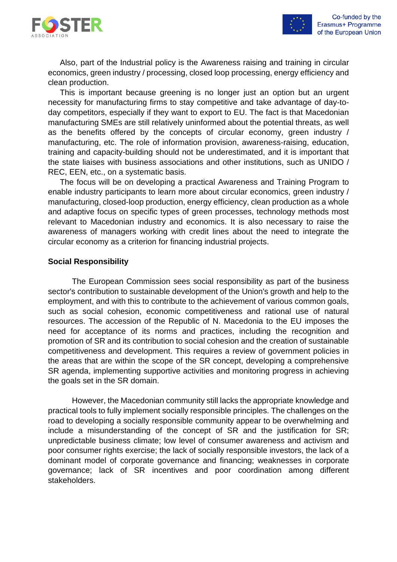

Also, part of the Industrial policy is the Awareness raising and training in circular economics, green industry / processing, closed loop processing, energy efficiency and clean production.

This is important because greening is no longer just an option but an urgent necessity for manufacturing firms to stay competitive and take advantage of day-today competitors, especially if they want to export to EU. The fact is that Macedonian manufacturing SMEs are still relatively uninformed about the potential threats, as well as the benefits offered by the concepts of circular economy, green industry / manufacturing, etc. The role of information provision, awareness-raising, education, training and capacity-building should not be underestimated, and it is important that the state liaises with business associations and other institutions, such as UNIDO / REC, EEN, etc., on a systematic basis.

The focus will be on developing a practical Awareness and Training Program to enable industry participants to learn more about circular economics, green industry / manufacturing, closed-loop production, energy efficiency, clean production as a whole and adaptive focus on specific types of green processes, technology methods most relevant to Macedonian industry and economics. It is also necessary to raise the awareness of managers working with credit lines about the need to integrate the circular economy as a criterion for financing industrial projects.

#### **Social Responsibility**

The European Commission sees social responsibility as part of the business sector's contribution to sustainable development of the Union's growth and help to the employment, and with this to contribute to the achievement of various common goals, such as social cohesion, economic competitiveness and rational use of natural resources. The accession of the Republic of N. Macedonia to the EU imposes the need for acceptance of its norms and practices, including the recognition and promotion of SR and its contribution to social cohesion and the creation of sustainable competitiveness and development. This requires a review of government policies in the areas that are within the scope of the SR concept, developing a comprehensive SR agenda, implementing supportive activities and monitoring progress in achieving the goals set in the SR domain.

However, the Macedonian community still lacks the appropriate knowledge and practical tools to fully implement socially responsible principles. The challenges on the road to developing a socially responsible community appear to be overwhelming and include a misunderstanding of the concept of SR and the justification for SR; unpredictable business climate; low level of consumer awareness and activism and poor consumer rights exercise; the lack of socially responsible investors, the lack of a dominant model of corporate governance and financing; weaknesses in corporate governance; lack of SR incentives and poor coordination among different stakeholders.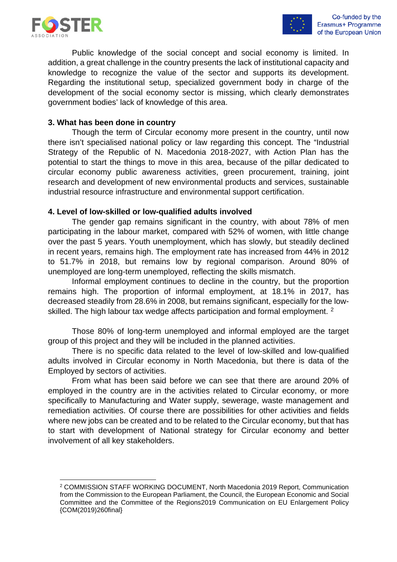

Public knowledge of the social concept and social economy is limited. In addition, a great challenge in the country presents the lack of institutional capacity and knowledge to recognize the value of the sector and supports its development. Regarding the institutional setup, specialized government body in charge of the development of the social economy sector is missing, which clearly demonstrates government bodies' lack of knowledge of this area.

#### **3. What has been done in country**

Though the term of Circular economy more present in the country, until now there isn't specialised national policy or law regarding this concept. The "Industrial Strategy of the Republic of N. Macedonia 2018-2027, with Action Plan has the potential to start the things to move in this area, because of the pillar dedicated to circular economy public awareness activities, green procurement, training, joint research and development of new environmental products and services, sustainable industrial resource infrastructure and environmental support certification.

#### **4. Level of low-skilled or low-qualified adults involved**

The gender gap remains significant in the country, with about 78% of men participating in the labour market, compared with 52% of women, with little change over the past 5 years. Youth unemployment, which has slowly, but steadily declined in recent years, remains high. The employment rate has increased from 44% in 2012 to 51.7% in 2018, but remains low by regional comparison. Around 80% of unemployed are long-term unemployed, reflecting the skills mismatch.

Informal employment continues to decline in the country, but the proportion remains high. The proportion of informal employment, at 18.1% in 2017, has decreased steadily from 28.6% in 2008, but remains significant, especially for the low-skilled. The high labour tax wedge affects participation and formal employment. <sup>[2](#page-5-0)</sup>

Those 80% of long-term unemployed and informal employed are the target group of this project and they will be included in the planned activities.

There is no specific data related to the level of low-skilled and low-qualified adults involved in Circular economy in North Macedonia, but there is data of the Employed by sectors of activities.

From what has been said before we can see that there are around 20% of employed in the country are in the activities related to Circular economy, or more specifically to Manufacturing and Water supply, sewerage, waste management and remediation activities. Of course there are possibilities for other activities and fields where new jobs can be created and to be related to the Circular economy, but that has to start with development of National strategy for Circular economy and better involvement of all key stakeholders.

<span id="page-5-0"></span><sup>2</sup> COMMISSION STAFF WORKING DOCUMENT, North Macedonia 2019 Report, Communication from the Commission to the European Parliament, the Council, the European Economic and Social Committee and the Committee of the Regions2019 Communication on EU Enlargement Policy {COM(2019)260final}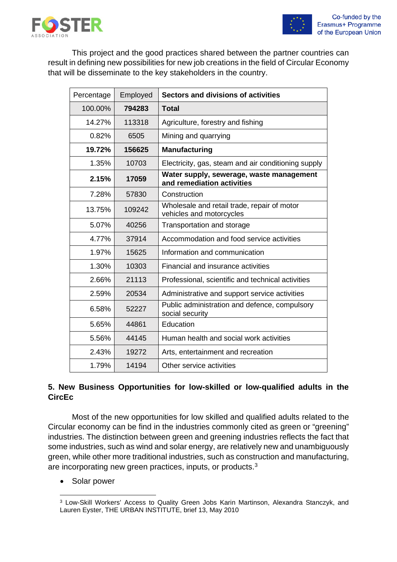

This project and the good practices shared between the partner countries can result in defining new possibilities for new job creations in the field of Circular Economy that will be disseminate to the key stakeholders in the country.

| Percentage | Employed | Sectors and divisions of activities                                     |  |  |
|------------|----------|-------------------------------------------------------------------------|--|--|
| 100.00%    | 794283   | <b>Total</b>                                                            |  |  |
| 14.27%     | 113318   | Agriculture, forestry and fishing                                       |  |  |
| 0.82%      | 6505     | Mining and quarrying                                                    |  |  |
| 19.72%     | 156625   | <b>Manufacturing</b>                                                    |  |  |
| 1.35%      | 10703    | Electricity, gas, steam and air conditioning supply                     |  |  |
| 2.15%      | 17059    | Water supply, sewerage, waste management<br>and remediation activities  |  |  |
| 7.28%      | 57830    | Construction                                                            |  |  |
| 13.75%     | 109242   | Wholesale and retail trade, repair of motor<br>vehicles and motorcycles |  |  |
| 5.07%      | 40256    | Transportation and storage                                              |  |  |
| 4.77%      | 37914    | Accommodation and food service activities                               |  |  |
| 1.97%      | 15625    | Information and communication                                           |  |  |
| 1.30%      | 10303    | Financial and insurance activities                                      |  |  |
| 2.66%      | 21113    | Professional, scientific and technical activities                       |  |  |
| 2.59%      | 20534    | Administrative and support service activities                           |  |  |
| 6.58%      | 52227    | Public administration and defence, compulsory<br>social security        |  |  |
| 5.65%      | 44861    | Education                                                               |  |  |
| 5.56%      | 44145    | Human health and social work activities                                 |  |  |
| 2.43%      | 19272    | Arts, entertainment and recreation                                      |  |  |
| 1.79%      | 14194    | Other service activities                                                |  |  |

# **5. New Business Opportunities for low-skilled or low-qualified adults in the CircEc**

Most of the new opportunities for low skilled and qualified adults related to the Circular economy can be find in the industries commonly cited as green or "greening" industries. The distinction between green and greening industries reflects the fact that some industries, such as wind and solar energy, are relatively new and unambiguously green, while other more traditional industries, such as construction and manufacturing, are incorporating new green practices, inputs, or products.[3](#page-6-0)

• Solar power

<span id="page-6-0"></span><sup>3</sup> Low-Skill Workers' Access to Quality Green Jobs Karin Martinson, Alexandra Stanczyk, and Lauren Eyster, THE URBAN INSTITUTE, brief 13, May 2010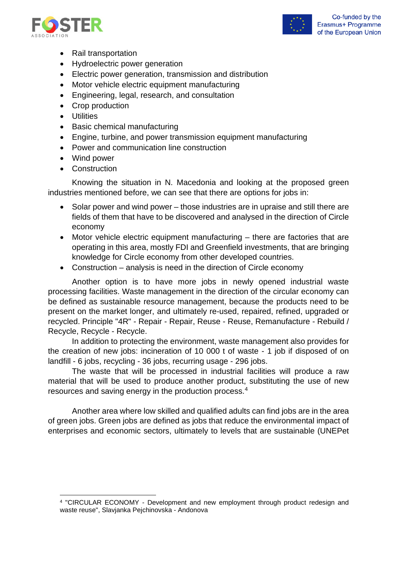



- Rail transportation
- Hydroelectric power generation
- Electric power generation, transmission and distribution
- Motor vehicle electric equipment manufacturing
- Engineering, legal, research, and consultation
- Crop production
- Utilities
- Basic chemical manufacturing
- Engine, turbine, and power transmission equipment manufacturing
- Power and communication line construction
- Wind power
- Construction

Knowing the situation in N. Macedonia and looking at the proposed green industries mentioned before, we can see that there are options for jobs in:

- Solar power and wind power those industries are in upraise and still there are fields of them that have to be discovered and analysed in the direction of Circle economy
- Motor vehicle electric equipment manufacturing there are factories that are operating in this area, mostly FDI and Greenfield investments, that are bringing knowledge for Circle economy from other developed countries.
- Construction analysis is need in the direction of Circle economy

Another option is to have more jobs in newly opened industrial waste processing facilities. Waste management in the direction of the circular economy can be defined as sustainable resource management, because the products need to be present on the market longer, and ultimately re-used, repaired, refined, upgraded or recycled. Principle "4R" - Repair - Repair, Reuse - Reuse, Remanufacture - Rebuild / Recycle, Recycle - Recycle.

In addition to protecting the environment, waste management also provides for the creation of new jobs: incineration of 10 000 t of waste - 1 job if disposed of on landfill - 6 jobs, recycling - 36 jobs, recurring usage - 296 jobs.

The waste that will be processed in industrial facilities will produce a raw material that will be used to produce another product, substituting the use of new resources and saving energy in the production process.[4](#page-7-0)

Another area where low skilled and qualified adults can find jobs are in the area of green jobs. Green jobs are defined as jobs that reduce the environmental impact of enterprises and economic sectors, ultimately to levels that are sustainable (UNEPet

<span id="page-7-0"></span><sup>4</sup> "CIRCULAR ECONOMY - Development and new employment through product redesign and waste reuse", Slavjanka Pejchinovska - Andonova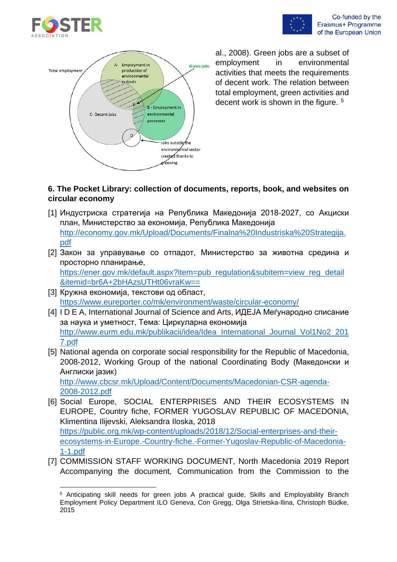





al., 2008). Green jobs are a subset of employment in environmental activities that meets the requirements of decent work. The relation between total employment, green activities and decent work is shown in the figure. <sup>[5](#page-8-0)</sup>

## **6. The Pocket Library: collection of documents, reports, book, and websites on circular economy**

- [1] Индустриска стратегија на Република Македонија 2018-2027, со Акциски план, Министерство за економија, Република Македонија [http://economy.gov.mk/Upload/Documents/Finalna%20Industriska%20Strategija.](http://economy.gov.mk/Upload/Documents/Finalna%20Industriska%20Strategija.pdf) [pdf](http://economy.gov.mk/Upload/Documents/Finalna%20Industriska%20Strategija.pdf)
- [2] Закон за управување со отпадот, Министерство за животна средина и просторно планирање, [https://ener.gov.mk/default.aspx?item=pub\\_regulation&subitem=view\\_reg\\_detail](https://ener.gov.mk/default.aspx?item=pub_regulation&subitem=view_reg_detail&itemid=br6A+2bHAzsUTHt06vraKw==)

[&itemid=br6A+2bHAzsUTHt06vraKw==](https://ener.gov.mk/default.aspx?item=pub_regulation&subitem=view_reg_detail&itemid=br6A+2bHAzsUTHt06vraKw==)

- [3] Кружна економија, текстови од област, <https://www.eureporter.co/mk/environment/waste/circular-economy/>
- [4] I D E A, International Journal of Science and Arts, ИДЕЈА Меѓународно списание за наука и уметност, Тема: Циркуларна економија [http://www.eurm.edu.mk/publikacii/idea/Idea\\_International\\_Journal\\_Vol1No2\\_201](http://www.eurm.edu.mk/publikacii/idea/Idea_International_Journal_Vol1No2_2017.pdf) [7.pdf](http://www.eurm.edu.mk/publikacii/idea/Idea_International_Journal_Vol1No2_2017.pdf)
- [5] National agenda on corporate social responsibility for the Republic of Macedonia, 2008-2012, Working Group of the national Coordinating Body (Македонски и Англиски јазик) [http://www.cbcsr.mk/Upload/Content/Documents/Macedonian-CSR-agenda-](http://www.cbcsr.mk/Upload/Content/Documents/Macedonian-CSR-agenda-2008-2012.pdf)[2008-2012.pdf](http://www.cbcsr.mk/Upload/Content/Documents/Macedonian-CSR-agenda-2008-2012.pdf)
- [6] Social Europe, SOCIAL ENTERPRISES AND THEIR ECOSYSTEMS IN EUROPE, Country fiche, FORMER YUGOSLAV REPUBLIC OF MACEDONIA, Klimentina Ilijevski, Aleksandra Iloska, 2018 [https://public.org.mk/wp-content/uploads/2018/12/Social-enterprises-and-their](https://public.org.mk/wp-content/uploads/2018/12/Social-enterprises-and-their-ecosystems-in-Europe.-Country-fiche.-Former-Yugoslav-Republic-of-Macedonia-1-1.pdf)[ecosystems-in-Europe.-Country-fiche.-Former-Yugoslav-Republic-of-Macedonia-](https://public.org.mk/wp-content/uploads/2018/12/Social-enterprises-and-their-ecosystems-in-Europe.-Country-fiche.-Former-Yugoslav-Republic-of-Macedonia-1-1.pdf)[1-1.pdf](https://public.org.mk/wp-content/uploads/2018/12/Social-enterprises-and-their-ecosystems-in-Europe.-Country-fiche.-Former-Yugoslav-Republic-of-Macedonia-1-1.pdf)
- [7] COMMISSION STAFF WORKING DOCUMENT, North Macedonia 2019 Report Accompanying the document, Communication from the Commission to the

<span id="page-8-0"></span><sup>&</sup>lt;sup>5</sup> Anticipating skill needs for green jobs A practical guide. Skills and Employability Branch Employment Policy Department ILO Geneva, Con Gregg, Olga Strietska-Ilina, Christoph Büdke, 2015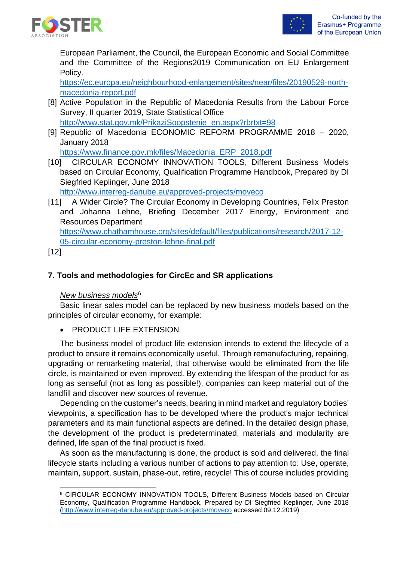

European Parliament, the Council, the European Economic and Social Committee and the Committee of the Regions2019 Communication on EU Enlargement Policy.

[https://ec.europa.eu/neighbourhood-enlargement/sites/near/files/20190529-north](https://ec.europa.eu/neighbourhood-enlargement/sites/near/files/20190529-north-macedonia-report.pdf)[macedonia-report.pdf](https://ec.europa.eu/neighbourhood-enlargement/sites/near/files/20190529-north-macedonia-report.pdf)

- [8] Active Population in the Republic of Macedonia Results from the Labour Force Survey, II quarter 2019, State Statistical Office [http://www.stat.gov.mk/PrikaziSoopstenie\\_en.aspx?rbrtxt=98](http://www.stat.gov.mk/PrikaziSoopstenie_en.aspx?rbrtxt=98)
- [9] Republic of Macedonia ECONOMIC REFORM PROGRAMME 2018 2020, January 2018

[https://www.finance.gov.mk/files/Macedonia\\_ERP\\_2018.pdf](https://www.finance.gov.mk/files/Macedonia_ERP_2018.pdf)

[10] CIRCULAR ECONOMY INNOVATION TOOLS, Different Business Models based on Circular Economy, Qualification Programme Handbook, Prepared by DI Siegfried Keplinger, June 2018

<http://www.interreg-danube.eu/approved-projects/moveco>

[11] A Wider Circle? The Circular Economy in Developing Countries, Felix Preston and Johanna Lehne, Briefing December 2017 Energy, Environment and Resources Department

[https://www.chathamhouse.org/sites/default/files/publications/research/2017-12-](https://www.chathamhouse.org/sites/default/files/publications/research/2017-12-05-circular-economy-preston-lehne-final.pdf) [05-circular-economy-preston-lehne-final.pdf](https://www.chathamhouse.org/sites/default/files/publications/research/2017-12-05-circular-economy-preston-lehne-final.pdf)

[12]

# **7. Tools and methodologies for CircEc and SR applications**

## *New business models*[6](#page-9-0)

Basic linear sales model can be replaced by new business models based on the principles of circular economy, for example:

• PRODUCT LIFE EXTENSION

The business model of product life extension intends to extend the lifecycle of a product to ensure it remains economically useful. Through remanufacturing, repairing, upgrading or remarketing material, that otherwise would be eliminated from the life circle, is maintained or even improved. By extending the lifespan of the product for as long as senseful (not as long as possible!), companies can keep material out of the landfill and discover new sources of revenue.

Depending on the customer's needs, bearing in mind market and regulatory bodies' viewpoints, a specification has to be developed where the product's major technical parameters and its main functional aspects are defined. In the detailed design phase, the development of the product is predeterminated, materials and modularity are defined, life span of the final product is fixed.

As soon as the manufacturing is done, the product is sold and delivered, the final lifecycle starts including a various number of actions to pay attention to: Use, operate, maintain, support, sustain, phase-out, retire, recycle! This of course includes providing

<span id="page-9-0"></span><sup>6</sup> CIRCULAR ECONOMY INNOVATION TOOLS, Different Business Models based on Circular Economy, Qualification Programme Handbook, Prepared by DI Siegfried Keplinger, June 2018 [\(http://www.interreg-danube.eu/approved-projects/moveco](http://www.interreg-danube.eu/approved-projects/moveco) accessed 09.12.2019)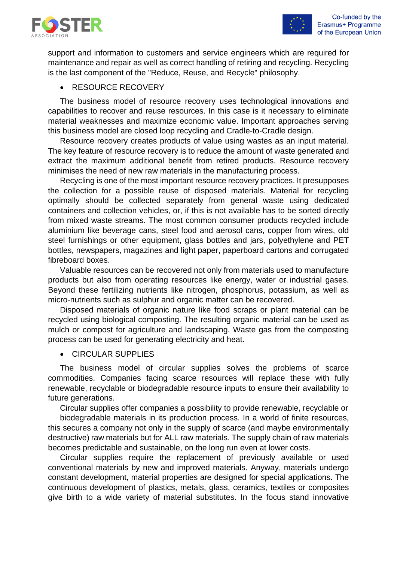

support and information to customers and service engineers which are required for maintenance and repair as well as correct handling of retiring and recycling. Recycling is the last component of the "Reduce, Reuse, and Recycle" philosophy.

#### • RESOURCE RECOVERY

The business model of resource recovery uses technological innovations and capabilities to recover and reuse resources. In this case is it necessary to eliminate material weaknesses and maximize economic value. Important approaches serving this business model are closed loop recycling and Cradle-to-Cradle design.

Resource recovery creates products of value using wastes as an input material. The key feature of resource recovery is to reduce the amount of waste generated and extract the maximum additional benefit from retired products. Resource recovery minimises the need of new raw materials in the manufacturing process.

Recycling is one of the most important resource recovery practices. It presupposes the collection for a possible reuse of disposed materials. Material for recycling optimally should be collected separately from general waste using dedicated containers and collection vehicles, or, if this is not available has to be sorted directly from mixed waste streams. The most common consumer products recycled include aluminium like beverage cans, steel food and aerosol cans, copper from wires, old steel furnishings or other equipment, glass bottles and jars, polyethylene and PET bottles, newspapers, magazines and light paper, paperboard cartons and corrugated fibreboard boxes.

Valuable resources can be recovered not only from materials used to manufacture products but also from operating resources like energy, water or industrial gases. Beyond these fertilizing nutrients like nitrogen, phosphorus, potassium, as well as micro-nutrients such as sulphur and organic matter can be recovered.

Disposed materials of organic nature like food scraps or plant material can be recycled using biological composting. The resulting organic material can be used as mulch or compost for agriculture and landscaping. Waste gas from the composting process can be used for generating electricity and heat.

#### • CIRCULAR SUPPLIES

The business model of circular supplies solves the problems of scarce commodities. Companies facing scarce resources will replace these with fully renewable, recyclable or biodegradable resource inputs to ensure their availability to future generations.

Circular supplies offer companies a possibility to provide renewable, recyclable or

biodegradable materials in its production process. In a world of finite resources, this secures a company not only in the supply of scarce (and maybe environmentally destructive) raw materials but for ALL raw materials. The supply chain of raw materials becomes predictable and sustainable, on the long run even at lower costs.

Circular supplies require the replacement of previously available or used conventional materials by new and improved materials. Anyway, materials undergo constant development, material properties are designed for special applications. The continuous development of plastics, metals, glass, ceramics, textiles or composites give birth to a wide variety of material substitutes. In the focus stand innovative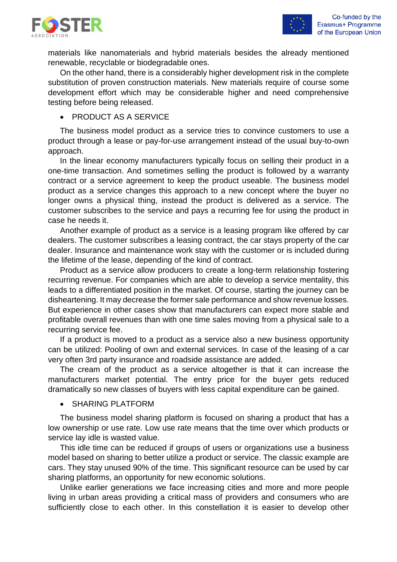

materials like nanomaterials and hybrid materials besides the already mentioned renewable, recyclable or biodegradable ones.

On the other hand, there is a considerably higher development risk in the complete substitution of proven construction materials. New materials require of course some development effort which may be considerable higher and need comprehensive testing before being released.

• PRODUCT AS A SERVICE

The business model product as a service tries to convince customers to use a product through a lease or pay-for-use arrangement instead of the usual buy-to-own approach.

In the linear economy manufacturers typically focus on selling their product in a one-time transaction. And sometimes selling the product is followed by a warranty contract or a service agreement to keep the product useable. The business model product as a service changes this approach to a new concept where the buyer no longer owns a physical thing, instead the product is delivered as a service. The customer subscribes to the service and pays a recurring fee for using the product in case he needs it.

Another example of product as a service is a leasing program like offered by car dealers. The customer subscribes a leasing contract, the car stays property of the car dealer. Insurance and maintenance work stay with the customer or is included during the lifetime of the lease, depending of the kind of contract.

Product as a service allow producers to create a long-term relationship fostering recurring revenue. For companies which are able to develop a service mentality, this leads to a differentiated position in the market. Of course, starting the journey can be disheartening. It may decrease the former sale performance and show revenue losses. But experience in other cases show that manufacturers can expect more stable and profitable overall revenues than with one time sales moving from a physical sale to a recurring service fee.

If a product is moved to a product as a service also a new business opportunity can be utilized: Pooling of own and external services. In case of the leasing of a car very often 3rd party insurance and roadside assistance are added.

The cream of the product as a service altogether is that it can increase the manufacturers market potential. The entry price for the buyer gets reduced dramatically so new classes of buyers with less capital expenditure can be gained.

• SHARING PLATFORM

The business model sharing platform is focused on sharing a product that has a low ownership or use rate. Low use rate means that the time over which products or service lay idle is wasted value.

This idle time can be reduced if groups of users or organizations use a business model based on sharing to better utilize a product or service. The classic example are cars. They stay unused 90% of the time. This significant resource can be used by car sharing platforms, an opportunity for new economic solutions.

Unlike earlier generations we face increasing cities and more and more people living in urban areas providing a critical mass of providers and consumers who are sufficiently close to each other. In this constellation it is easier to develop other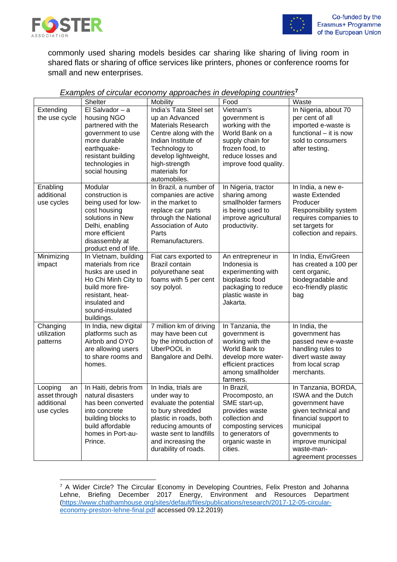

commonly used sharing models besides car sharing like sharing of living room in shared flats or sharing of office services like printers, phones or conference rooms for small and new enterprises.

|                                                            | Shelter                                                                                                                                                                           | Mobility                                                                                                                                                                                                         | Food                                                                                                                                                         | Waste                                                                                                                                                                                                       |
|------------------------------------------------------------|-----------------------------------------------------------------------------------------------------------------------------------------------------------------------------------|------------------------------------------------------------------------------------------------------------------------------------------------------------------------------------------------------------------|--------------------------------------------------------------------------------------------------------------------------------------------------------------|-------------------------------------------------------------------------------------------------------------------------------------------------------------------------------------------------------------|
| Extending<br>the use cycle                                 | El Salvador $-$ a<br>housing NGO<br>partnered with the<br>government to use<br>more durable<br>earthquake-<br>resistant building<br>technologies in<br>social housing             | India's Tata Steel set<br>up an Advanced<br><b>Materials Research</b><br>Centre along with the<br>Indian Institute of<br>Technology to<br>develop lightweight,<br>high-strength<br>materials for<br>automobiles. | Vietnam's<br>government is<br>working with the<br>World Bank on a<br>supply chain for<br>frozen food, to<br>reduce losses and<br>improve food quality.       | In Nigeria, about 70<br>per cent of all<br>imported e-waste is<br>functional - it is now<br>sold to consumers<br>after testing.                                                                             |
| Enabling<br>additional<br>use cycles                       | Modular<br>construction is<br>being used for low-<br>cost housing<br>solutions in New<br>Delhi, enabling<br>more efficient<br>disassembly at<br>product end of life.              | In Brazil, a number of<br>companies are active<br>in the market to<br>replace car parts<br>through the National<br>Association of Auto<br>Parts<br>Remanufacturers.                                              | In Nigeria, tractor<br>sharing among<br>smallholder farmers<br>is being used to<br>improve agricultural<br>productivity.                                     | In India, a new e-<br>waste Extended<br>Producer<br>Responsibility system<br>requires companies to<br>set targets for<br>collection and repairs.                                                            |
| Minimizing<br>impact                                       | In Vietnam, building<br>materials from rice<br>husks are used in<br>Ho Chi Minh City to<br>build more fire-<br>resistant, heat-<br>insulated and<br>sound-insulated<br>buildings. | Fiat cars exported to<br>Brazil contain<br>polyurethane seat<br>foams with 5 per cent<br>soy polyol.                                                                                                             | An entrepreneur in<br>Indonesia is<br>experimenting with<br>bioplastic food<br>packaging to reduce<br>plastic waste in<br>Jakarta.                           | In India, EnviGreen<br>has created a 100 per<br>cent organic,<br>biodegradable and<br>eco-friendly plastic<br>bag                                                                                           |
| Changing<br>utilization<br>patterns                        | In India, new digital<br>platforms such as<br>Airbnb and OYO<br>are allowing users<br>to share rooms and<br>homes.                                                                | 7 million km of driving<br>may have been cut<br>by the introduction of<br>UberPOOL in<br>Bangalore and Delhi.                                                                                                    | In Tanzania, the<br>government is<br>working with the<br>World Bank to<br>develop more water-<br>efficient practices<br>among smallholder<br>farmers.        | In India, the<br>government has<br>passed new e-waste<br>handling rules to<br>divert waste away<br>from local scrap<br>merchants.                                                                           |
| Looping<br>an<br>asset through<br>additional<br>use cycles | In Haiti, debris from<br>natural disasters<br>has been converted<br>into concrete<br>building blocks to<br>build affordable<br>homes in Port-au-<br>Prince.                       | In India, trials are<br>under way to<br>evaluate the potential<br>to bury shredded<br>plastic in roads, both<br>reducing amounts of<br>waste sent to landfills<br>and increasing the<br>durability of roads.     | In Brazil,<br>Procomposto, an<br>SME start-up,<br>provides waste<br>collection and<br>composting services<br>to generators of<br>organic waste in<br>cities. | In Tanzania, BORDA,<br><b>ISWA and the Dutch</b><br>government have<br>given technical and<br>financial support to<br>municipal<br>governments to<br>improve municipal<br>waste-man-<br>agreement processes |

#### *Examples of circular economy approaches in developing countries***[7](#page-12-0)**

<span id="page-12-0"></span><sup>7</sup> A Wider Circle? The Circular Economy in Developing Countries, Felix Preston and Johanna Lehne, Briefing December 2017 Energy, Environment and Resources Department [\(https://www.chathamhouse.org/sites/default/files/publications/research/2017-12-05-circular](https://www.chathamhouse.org/sites/default/files/publications/research/2017-12-05-circular-economy-preston-lehne-final.pdf)[economy-preston-lehne-final.pdf](https://www.chathamhouse.org/sites/default/files/publications/research/2017-12-05-circular-economy-preston-lehne-final.pdf) accessed 09.12.2019)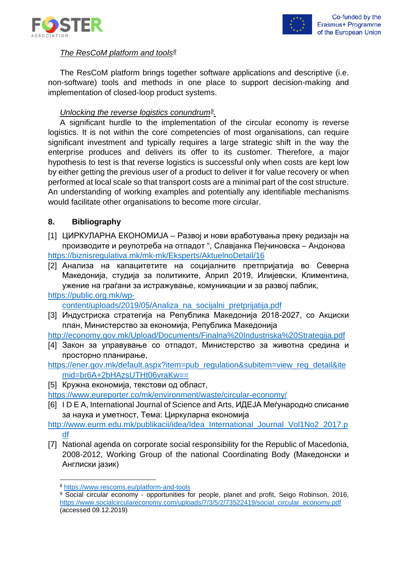



## *The ResCoM platform and tools[8](#page-13-0)*

The ResCoM platform brings together software applications and descriptive (i.e. non-software) tools and methods in one place to support decision-making and implementation of closed-loop product systems.

## *Unlocking the reverse logistics conundrum[9](#page-13-1).*

A significant hurdle to the implementation of the circular economy is reverse logistics. It is not within the core competencies of most organisations, can require significant investment and typically requires a large strategic shift in the way the enterprise produces and delivers its offer to its customer. Therefore, a major hypothesis to test is that reverse logistics is successful only when costs are kept low by either getting the previous user of a product to deliver it for value recovery or when performed at local scale so that transport costs are a minimal part of the cost structure. An understanding of working examples and potentially any identifiable mechanisms would facilitate other organisations to become more circular.

## **8. Bibliography**

- [1] ЦИРКУЛАРНА ЕКОНОМИЈА Развој и нови вработувања преку редизајн на производите и реупотреба на отпадот ", Славјанка Пејчиновска – Андонова <https://biznisregulativa.mk/mk-mk/Eksperts/AktuelnoDetail/16>
- [2] Анализа на капацитетите на социјалните претпријатија во Северна Македонија, студија за политиките, Април 2019, Илијевски, Климентина, ужение на граѓани за истражување, комуникации и за развој паблик,

# [https://public.org.mk/wp-](https://public.org.mk/wp-content/uploads/2019/05/Analiza_na_socijalni_pretprijatija.pdf)

[content/uploads/2019/05/Analiza\\_na\\_socijalni\\_pretprijatija.pdf](https://public.org.mk/wp-content/uploads/2019/05/Analiza_na_socijalni_pretprijatija.pdf)

[3] Индустриска стратегија на Република Македонија 2018-2027, со Акциски план, Министерство за економија, Република Македонија

<http://economy.gov.mk/Upload/Documents/Finalna%20Industriska%20Strategija.pdf>

- [4] Закон за управување со отпадот, Министерство за животна средина и просторно планирање,
- [https://ener.gov.mk/default.aspx?item=pub\\_regulation&subitem=view\\_reg\\_detail&ite](https://ener.gov.mk/default.aspx?item=pub_regulation&subitem=view_reg_detail&itemid=br6A+2bHAzsUTHt06vraKw==) [mid=br6A+2bHAzsUTHt06vraKw==](https://ener.gov.mk/default.aspx?item=pub_regulation&subitem=view_reg_detail&itemid=br6A+2bHAzsUTHt06vraKw==)
- [5] Кружна економија, текстови од област,
- <https://www.eureporter.co/mk/environment/waste/circular-economy/>
- [6] I D E A, International Journal of Science and Arts, ИДЕЈА Меѓународно списание за наука и уметност, Тема: Циркуларна економија

[http://www.eurm.edu.mk/publikacii/idea/Idea\\_International\\_Journal\\_Vol1No2\\_2017.p](http://www.eurm.edu.mk/publikacii/idea/Idea_International_Journal_Vol1No2_2017.pdf) [df](http://www.eurm.edu.mk/publikacii/idea/Idea_International_Journal_Vol1No2_2017.pdf)

[7] National agenda on corporate social responsibility for the Republic of Macedonia, 2008-2012, Working Group of the national Coordinating Body (Македонски и Англиски јазик)

<span id="page-13-0"></span><sup>8</sup> <https://www.rescoms.eu/platform-and-tools>

<span id="page-13-1"></span><sup>9</sup> Social circular economy - opportunities for people, planet and profit, Seigo Robinson, 2016, [https://www.socialcirculareconomy.com/uploads/7/3/5/2/73522419/social\\_circular\\_economy.pdf](https://www.socialcirculareconomy.com/uploads/7/3/5/2/73522419/social_circular_economy.pdf) (accessed 09.12.2019)